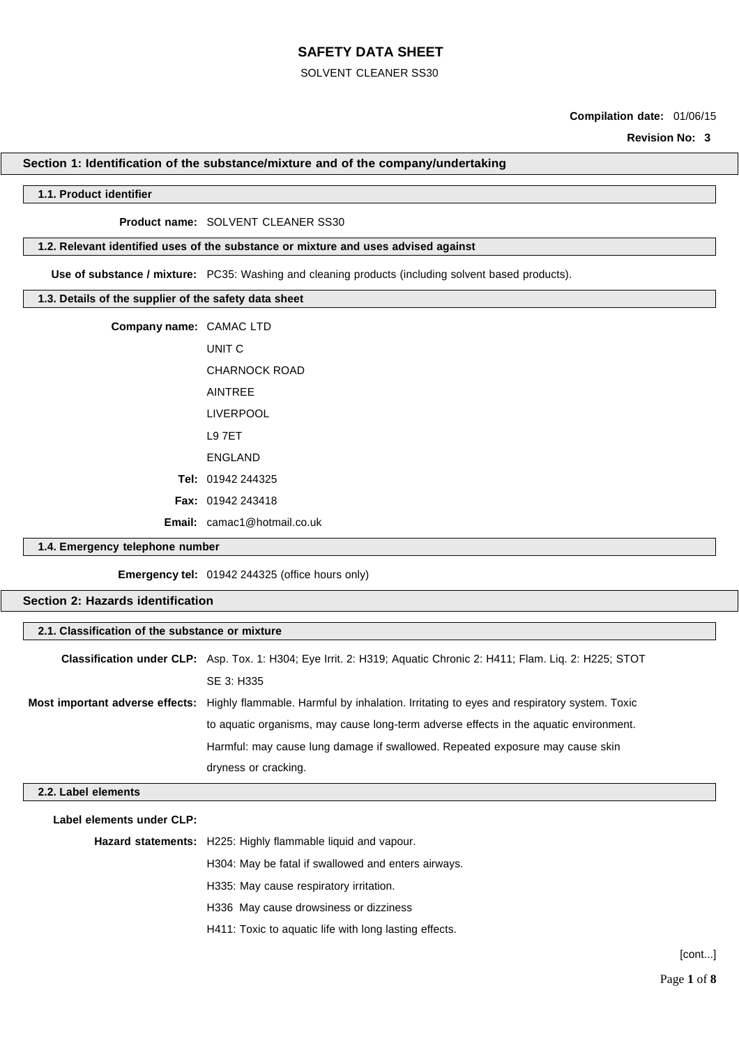#### SOLVENT CLEANER SS30

## **Compilation date:** 01/06/15

**Revision No: 3**

#### **Section 1: Identification of the substance/mixture and of the company/undertaking**

#### **1.1. Product identifier**

#### **Product name:** SOLVENT CLEANER SS30

## **1.2. Relevant identified uses of the substance or mixture and uses advised against**

**Use of substance / mixture:** PC35: Washing and cleaning products (including solvent based products).

### **1.3. Details of the supplier of the safety data sheet**

| Company name: CAMAC LTD |                                    |
|-------------------------|------------------------------------|
|                         | UNIT C                             |
|                         | CHARNOCK ROAD                      |
|                         | <b>AINTREE</b>                     |
|                         | LIVERPOOL                          |
|                         | <b>L97FT</b>                       |
|                         | <b>ENGLAND</b>                     |
|                         | <b>Tel:</b> $01942244325$          |
|                         | <b>Fax:</b> $01942243418$          |
|                         | <b>Email:</b> camac1@hotmail.co.uk |

## **1.4. Emergency telephone number**

**Emergency tel:** 01942 244325 (office hours only)

### **Section 2: Hazards identification**

| <b>Classification under CLP:</b> Asp. Tox. 1: H304; Eye Irrit. 2: H319; Aquatic Chronic 2: H411; Flam. Liq. 2: H225; STOT |
|---------------------------------------------------------------------------------------------------------------------------|
| SE 3: H335                                                                                                                |
| Most important adverse effects: Highly flammable. Harmful by inhalation. Irritating to eyes and respiratory system. Toxic |
| to aquatic organisms, may cause long-term adverse effects in the aquatic environment.                                     |
| Harmful: may cause lung damage if swallowed. Repeated exposure may cause skin                                             |
| dryness or cracking.                                                                                                      |
|                                                                                                                           |

#### **2.2. Label elements**

| Label elements under CLP: |                                                                     |  |
|---------------------------|---------------------------------------------------------------------|--|
|                           | <b>Hazard statements:</b> H225: Highly flammable liquid and vapour. |  |
|                           | H304: May be fatal if swallowed and enters airways.                 |  |
|                           | H335: May cause respiratory irritation.                             |  |
|                           | H336 May cause drowsiness or dizziness                              |  |
|                           | H411: Toxic to aquatic life with long lasting effects.              |  |
|                           |                                                                     |  |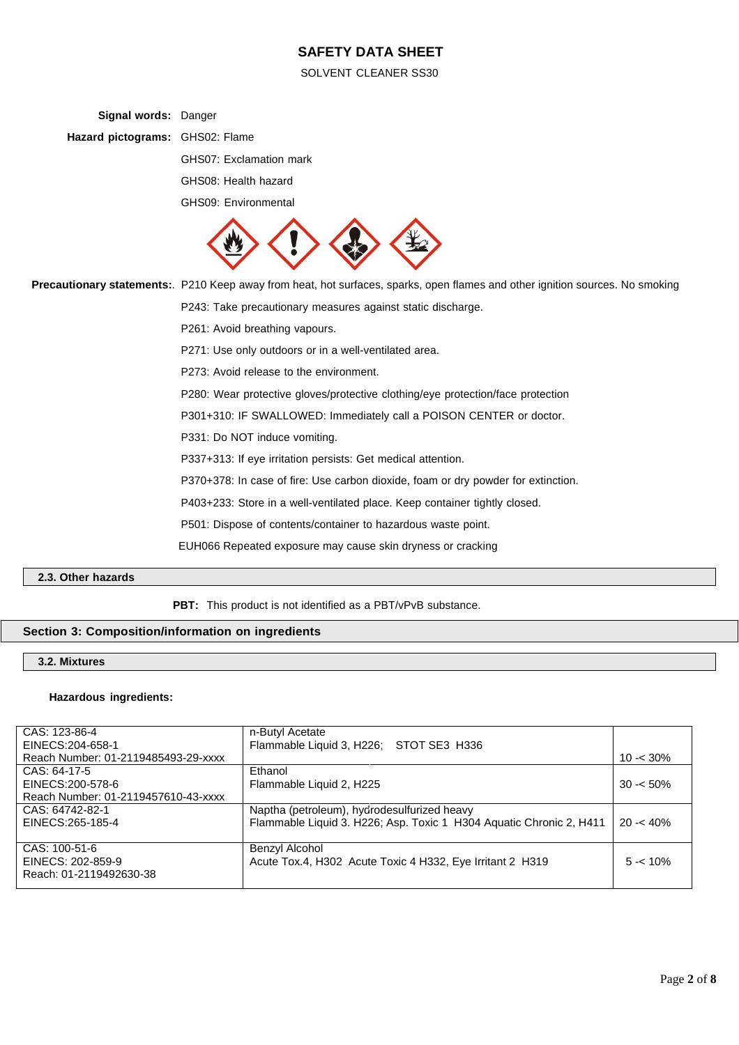SOLVENT CLEANER SS30

| Signal words: Danger            |                                                                                                                               |
|---------------------------------|-------------------------------------------------------------------------------------------------------------------------------|
| Hazard pictograms: GHS02: Flame |                                                                                                                               |
|                                 | GHS07: Exclamation mark                                                                                                       |
|                                 | GHS08: Health hazard                                                                                                          |
|                                 | GHS09: Environmental                                                                                                          |
|                                 |                                                                                                                               |
|                                 | Precautionary statements:. P210 Keep away from heat, hot surfaces, sparks, open flames and other ignition sources. No smoking |
|                                 | P243: Take precautionary measures against static discharge.                                                                   |
|                                 | P261: Avoid breathing vapours.                                                                                                |
|                                 | P271: Use only outdoors or in a well-ventilated area.                                                                         |
|                                 | P273: Avoid release to the environment.                                                                                       |
|                                 | P280: Wear protective gloves/protective clothing/eye protection/face protection                                               |
|                                 | P301+310: IF SWALLOWED: Immediately call a POISON CENTER or doctor.                                                           |
|                                 | P331: Do NOT induce vomiting.                                                                                                 |
|                                 | P337+313: If eye irritation persists: Get medical attention.                                                                  |
|                                 | P370+378: In case of fire: Use carbon dioxide, foam or dry powder for extinction.                                             |
|                                 | P403+233: Store in a well-ventilated place. Keep container tightly closed.                                                    |
|                                 | P501: Dispose of contents/container to hazardous waste point.                                                                 |
|                                 | EUH066 Repeated exposure may cause skin dryness or cracking                                                                   |

## **2.3. Other hazards**

**PBT:** This product is not identified as a PBT/vPvB substance.

## **Section 3: Composition/information on ingredients**

## **3.2. Mixtures**

## **Hazardous ingredients:**

| CAS: 123-86-4                       | n-Butyl Acetate                                                     |             |
|-------------------------------------|---------------------------------------------------------------------|-------------|
| EINECS: 204-658-1                   | Flammable Liquid 3, H226; STOT SE3 H336                             |             |
| Reach Number: 01-2119485493-29-xxxx |                                                                     | $10 - 30\%$ |
| CAS: 64-17-5                        | Ethanol                                                             |             |
| EINECS:200-578-6                    | Flammable Liquid 2, H225                                            | $30 - 50\%$ |
| Reach Number: 01-2119457610-43-xxxx |                                                                     |             |
| CAS: 64742-82-1                     | Naptha (petroleum), hydrodesulfurized heavy                         |             |
| EINECS: 265-185-4                   | Flammable Liquid 3. H226; Asp. Toxic 1 H304 Aquatic Chronic 2, H411 | $20 - 40%$  |
|                                     |                                                                     |             |
| CAS: 100-51-6                       | Benzyl Alcohol                                                      |             |
| EINECS: 202-859-9                   | Acute Tox.4, H302 Acute Toxic 4 H332, Eye Irritant 2 H319           | $5 - 10%$   |
| Reach: 01-2119492630-38             |                                                                     |             |
|                                     |                                                                     |             |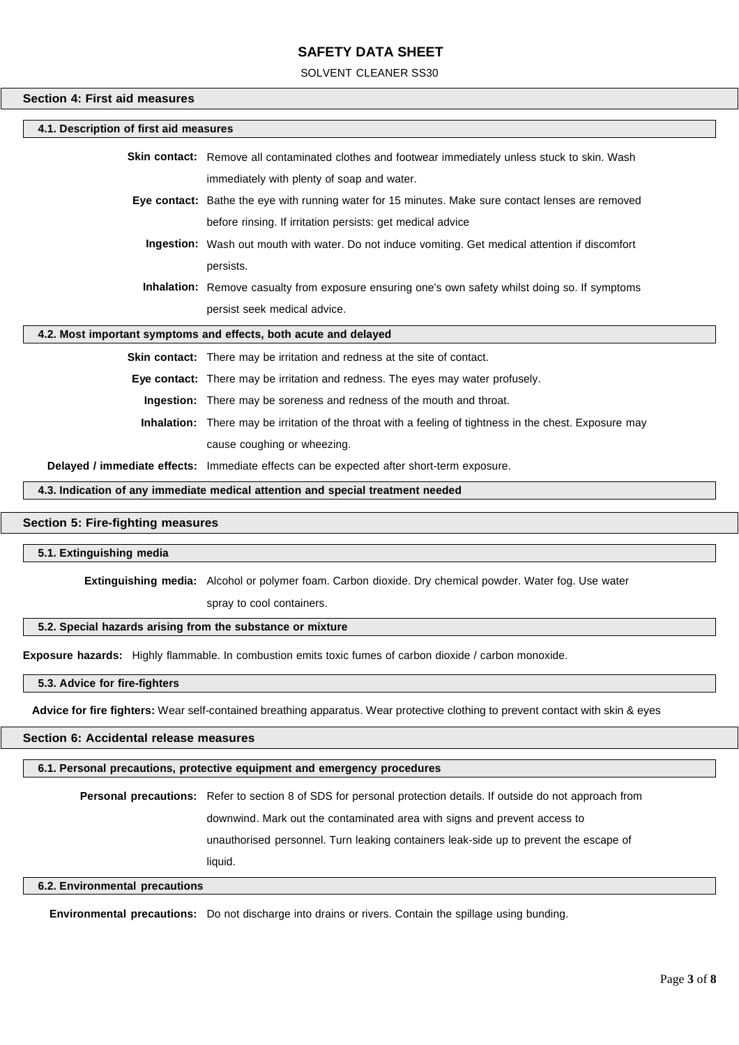SOLVENT CLEANER SS30

#### **Section 4: First aid measures**

| 4.1. Description of first aid measures                           |                                                                                                                 |  |
|------------------------------------------------------------------|-----------------------------------------------------------------------------------------------------------------|--|
|                                                                  | <b>Skin contact:</b> Remove all contaminated clothes and footwear immediately unless stuck to skin. Wash        |  |
|                                                                  | immediately with plenty of soap and water.                                                                      |  |
|                                                                  | <b>Eye contact:</b> Bathe the eye with running water for 15 minutes. Make sure contact lenses are removed       |  |
|                                                                  | before rinsing. If irritation persists: get medical advice                                                      |  |
|                                                                  | Ingestion: Wash out mouth with water. Do not induce vomiting. Get medical attention if discomfort               |  |
|                                                                  | persists.                                                                                                       |  |
|                                                                  | <b>Inhalation:</b> Remove casualty from exposure ensuring one's own safety whilst doing so. If symptoms         |  |
|                                                                  | persist seek medical advice.                                                                                    |  |
| 4.2. Most important symptoms and effects, both acute and delayed |                                                                                                                 |  |
|                                                                  | Skin contact: There may be irritation and redness at the site of contact.                                       |  |
|                                                                  | <b>Eye contact:</b> There may be irritation and redness. The eyes may water profusely.                          |  |
|                                                                  | <b>Ingestion:</b> There may be soreness and redness of the mouth and throat.                                    |  |
|                                                                  | <b>Inhalation:</b> There may be irritation of the throat with a feeling of tightness in the chest. Exposure may |  |
|                                                                  |                                                                                                                 |  |

cause coughing or wheezing.

**Delayed / immediate effects:** Immediate effects can be expected after short-term exposure.

**4.3. Indication of any immediate medical attention and special treatment needed**

### **Section 5: Fire-fighting measures**

#### **5.1. Extinguishing media**

**Extinguishing media:** Alcohol or polymer foam. Carbon dioxide. Dry chemical powder. Water fog. Use water

spray to cool containers.

#### **5.2. Special hazards arising from the substance or mixture**

**Exposure hazards:** Highly flammable. In combustion emits toxic fumes of carbon dioxide / carbon monoxide.

#### **5.3. Advice for fire-fighters**

**Advice for fire fighters:** Wear self-contained breathing apparatus. Wear protective clothing to prevent contact with skin & eyes

#### **Section 6: Accidental release measures**

#### **6.1. Personal precautions, protective equipment and emergency procedures**

**Personal precautions:** Refer to section 8 of SDS for personal protection details. If outside do not approach from downwind. Mark out the contaminated area with signs and prevent access to unauthorised personnel. Turn leaking containers leak-side up to prevent the escape of liquid.

#### **6.2. Environmental precautions**

**Environmental precautions:** Do not discharge into drains or rivers. Contain the spillage using bunding.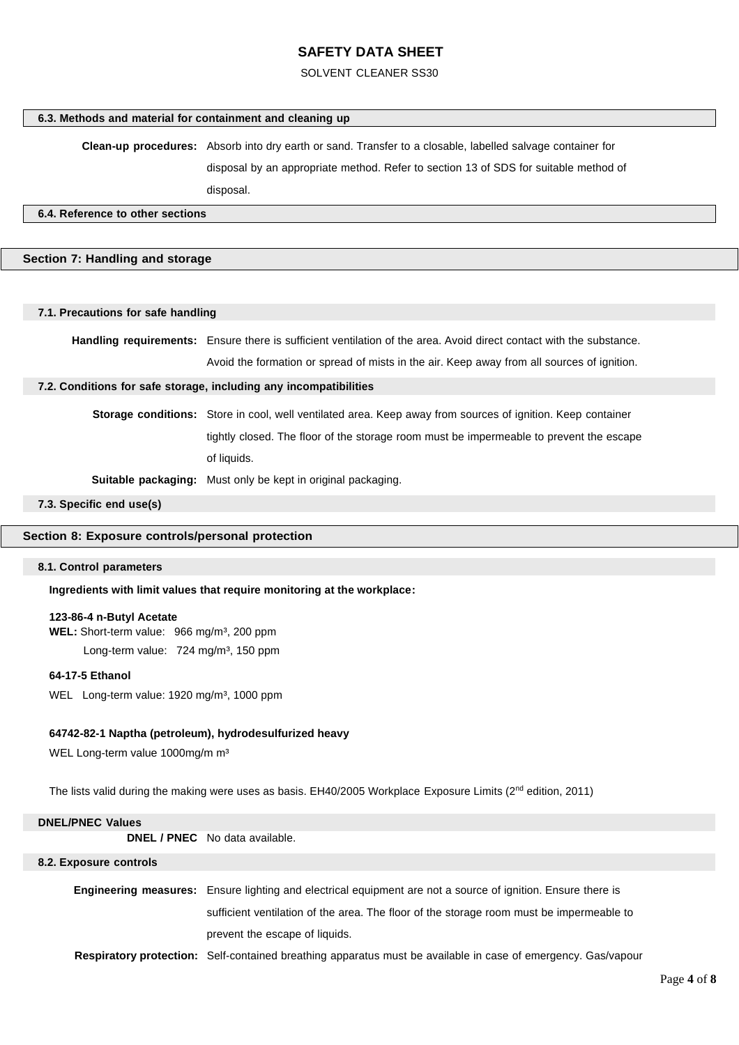#### SOLVENT CLEANER SS30

#### **6.3. Methods and material for containment and cleaning up**

**Clean-up procedures:** Absorb into dry earth or sand. Transfer to a closable, labelled salvage container for

disposal by an appropriate method. Refer to section 13 of SDS for suitable method of

disposal.

#### **6.4. Reference to other sections**

#### **Section 7: Handling and storage**

#### **7.1. Precautions for safe handling**

**Handling requirements:** Ensure there is sufficient ventilation of the area. Avoid direct contact with the substance. Avoid the formation or spread of mists in the air. Keep away from all sources of ignition.

#### **7.2. Conditions for safe storage, including any incompatibilities**

**Storage conditions:** Store in cool, well ventilated area. Keep away from sources of ignition. Keep container tightly closed. The floor of the storage room must be impermeable to prevent the escape of liquids.

**Suitable packaging:** Must only be kept in original packaging.

**7.3. Specific end use(s)**

#### **Section 8: Exposure controls/personal protection**

#### **8.1. Control parameters**

**Ingredients with limit values that require monitoring at the workplace:**

#### **123-86-4 n-Butyl Acetate**

**WEL:** Short-term value: 966 mg/m<sup>3</sup>, 200 ppm Long-term value: 724 mg/m<sup>3</sup>, 150 ppm

#### **64-17-5 Ethanol**

WEL Long-term value: 1920 mg/m<sup>3</sup>, 1000 ppm

#### **64742-82-1 Naptha (petroleum), hydrodesulfurized heavy**

WEL Long-term value 1000mg/m m<sup>3</sup>

The lists valid during the making were uses as basis. EH40/2005 Workplace Exposure Limits (2<sup>nd</sup> edition, 2011)

## **DNEL/PNEC Values DNEL / PNEC** No data available. **8.2. Exposure controls**

**Engineering measures:** Ensure lighting and electrical equipment are not a source of ignition. Ensure there is sufficient ventilation of the area. The floor of the storage room must be impermeable to prevent the escape of liquids.

**Respiratory protection:** Self-contained breathing apparatus must be available in case of emergency. Gas/vapour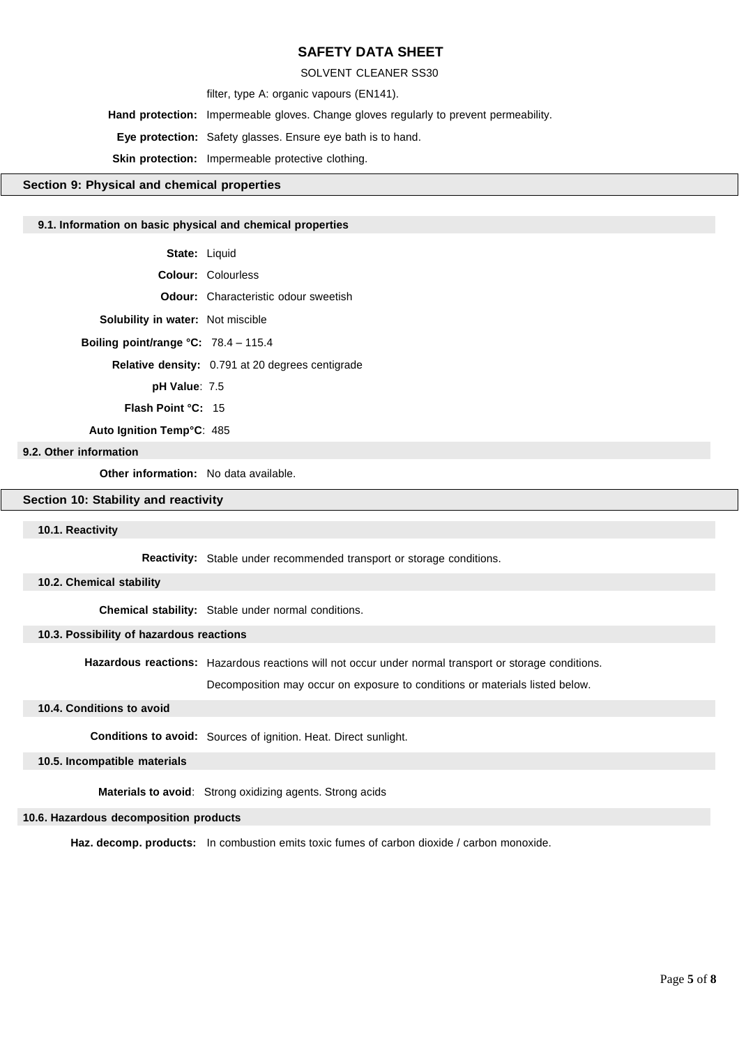SOLVENT CLEANER SS30

filter, type A: organic vapours (EN141).

**Hand protection:** Impermeable gloves. Change gloves regularly to prevent permeability.

**Eye protection:** Safety glasses. Ensure eye bath is to hand.

**Skin protection:** Impermeable protective clothing.

#### **Section 9: Physical and chemical properties**

#### **9.1. Information on basic physical and chemical properties**

- **State:** Liquid
- **Colour:** Colourless
	- **Odour:** Characteristic odour sweetish
- **Solubility in water:** Not miscible
	- **Boiling point/range °C:** 78.4 115.4
		- **Relative density:** 0.791 at 20 degrees centigrade

**pH Value**: 7.5

**Flash Point °C:** 15

**Auto Ignition Temp°C**: 485

#### **9.2. Other information**

**Other information:** No data available.

#### **Section 10: Stability and reactivity**

#### **10.1. Reactivity**

Reactivity: Stable under recommended transport or storage conditions.

#### **10.2. Chemical stability**

**Chemical stability:** Stable under normal conditions.

#### **10.3. Possibility of hazardous reactions**

Hazardous reactions: Hazardous reactions will not occur under normal transport or storage conditions.

Decomposition may occur on exposure to conditions or materials listed below. )

#### **10.4. Conditions to avoid**

**Conditions to avoid:** Sources of ignition. Heat. Direct sunlight.

#### **10.5. Incompatible materials**

 **Materials to avoid**: Strong oxidizing agents. Strong acids

#### **10.6. Hazardous decomposition products**

Haz. decomp. products: In combustion emits toxic fumes of carbon dioxide / carbon monoxide.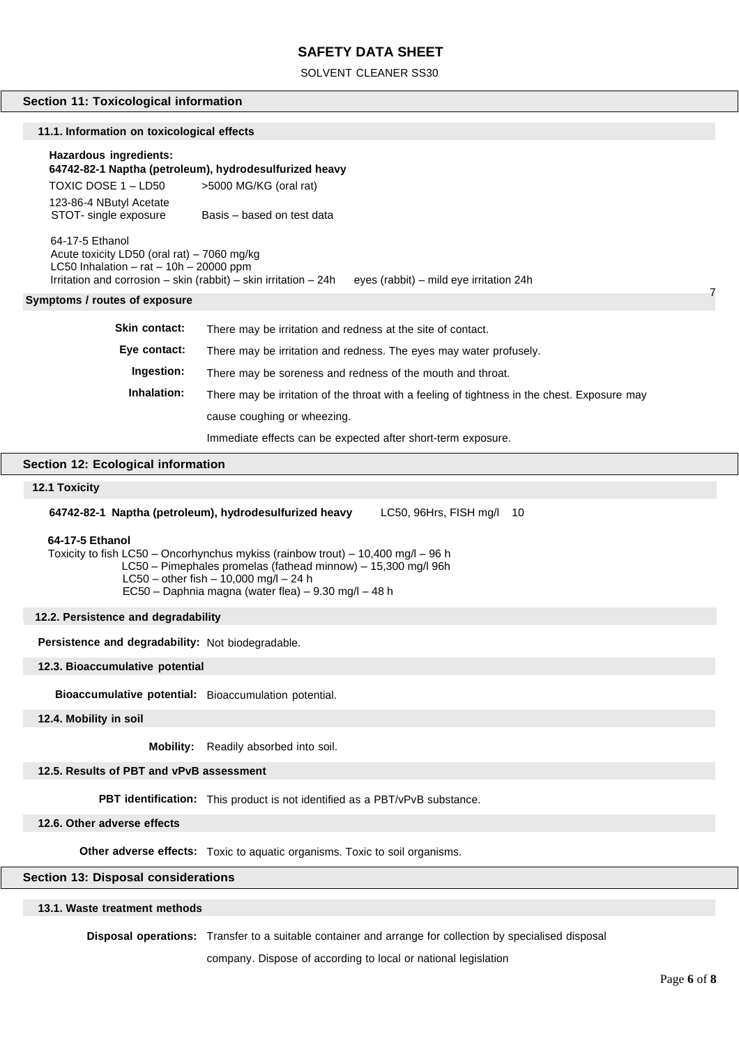#### SOLVENT CLEANER SS30

#### **Section 11: Toxicological information**

#### **11.1. Information on toxicological effects**

#### **Hazardous ingredients:**

**64742-82-1 Naptha (petroleum), hydrodesulfurized heavy** TOXIC DOSE 1 – LD50 >5000 MG/KG (oral rat)

123-86-4 NButyl Acetate<br>STOT- single exposure Basis – based on test data

 64-17-5 Ethanol Acute toxicity LD50 (oral rat) – 7060 mg/kg LC50 Inhalation –  $rat - 10h - 20000$  ppm Irritation and corrosion – skin (rabbit) – skin irritation – 24h eyes (rabbit) – mild eye irritation 24h

#### **Symptoms / routes of exposure**

| Skin contact: | There may be irritation and redness at the site of contact.                                  |
|---------------|----------------------------------------------------------------------------------------------|
| Eye contact:  | There may be irritation and redness. The eyes may water profusely.                           |
| Ingestion:    | There may be soreness and redness of the mouth and throat.                                   |
| Inhalation:   | There may be irritation of the throat with a feeling of tightness in the chest. Exposure may |
|               | cause coughing or wheezing.                                                                  |
|               | Immediate effects can be expected after short-term exposure.                                 |

#### **Section 12: Ecological information**

## **12.1 Toxicity 12.1. Toxicity**

**64742-82-1 Naptha (petroleum), hydrodesulfurized heavy** LC50, 96Hrs, FISH mg/l 10

#### **64-17-5 Ethanol**

Toxicity to fish LC50 – Oncorhynchus mykiss (rainbow trout) – 10,400 mg/l – 96 h LC50 – Pimephales promelas (fathead minnow) – 15,300 mg/l 96h LC50 – other fish – 10,000 mg/l – 24 h EC50 – Daphnia magna (water flea) – 9.30 mg/l – 48 h

#### **12.2. Persistence and degradability**

**Persistence and degradability:** Not biodegradable.

#### **12.3. Bioaccumulative potential**

**Bioaccumulative potential:** Bioaccumulation potential.

**12.4. Mobility in soil**

**Mobility:** Readily absorbed into soil.

#### **12.5. Results of PBT and vPvB assessment**

**PBT identification:** This product is not identified as a PBT/vPvB substance.

#### **12.6. Other adverse effects**

**Other adverse effects:** Toxic to aquatic organisms. Toxic to soil organisms.

## **Section 13: Disposal considerations**

#### **13.1. Waste treatment methods**

**Disposal operations:** Transfer to a suitable container and arrange for collection by specialised disposal

company. Dispose of according to local or national legislation

7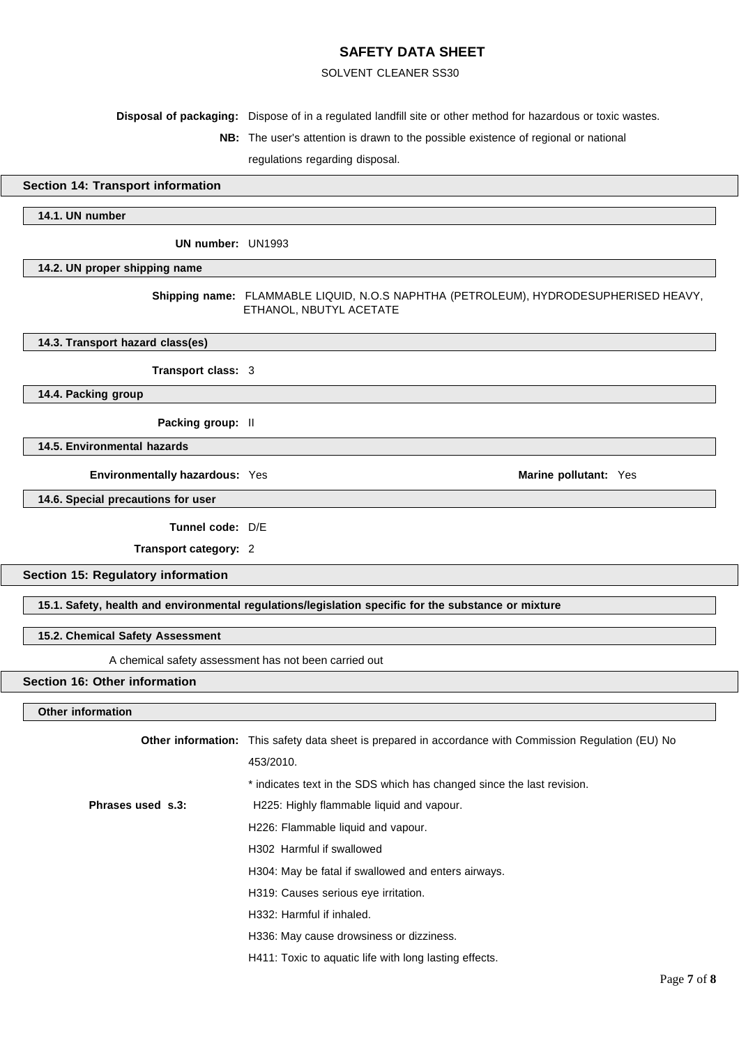#### SOLVENT CLEANER SS30

**Disposal of packaging:** Dispose of in a regulated landfill site or other method for hazardous or toxic wastes.

**NB:** The user's attention is drawn to the possible existence of regional or national

regulations regarding disposal.

#### **Section 14: Transport information**

#### **14.1. UN number**

**UN number:** UN1993

#### **14.2. UN proper shipping name**

**Shipping name:** FLAMMABLE LIQUID, N.O.S NAPHTHA (PETROLEUM), HYDRODESUPHERISED HEAVY, ETHANOL, NBUTYL ACETATE

#### **14.3. Transport hazard class(es)**

**Transport class:** 3

#### **14.4. Packing group**

**Packing group:** II

**14.5. Environmental hazards**

**Environmentally hazardous:** Yes **Marine Marine Marine Marine Marine Marine Marine Marine Marine Marine** 

**14.6. Special precautions for user**

**Tunnel code:** D/E

**Transport category:** 2

**Section 15: Regulatory information**

**15.1. Safety, health and environmental regulations/legislation specific for the substance or mixture**

#### **15.2. Chemical Safety Assessment**

A chemical safety assessment has not been carried out

#### **Section 16: Other information**

#### **Other information**

|                   | <b>Other information:</b> This safety data sheet is prepared in accordance with Commission Regulation (EU) No |
|-------------------|---------------------------------------------------------------------------------------------------------------|
|                   | 453/2010.                                                                                                     |
|                   | * indicates text in the SDS which has changed since the last revision.                                        |
| Phrases used s.3: | H225: Highly flammable liquid and vapour.                                                                     |
|                   | H226: Flammable liquid and vapour.                                                                            |
|                   | H302 Harmful if swallowed                                                                                     |
|                   | H304: May be fatal if swallowed and enters airways.                                                           |
|                   | H319: Causes serious eye irritation.                                                                          |
|                   | H332: Harmful if inhaled.                                                                                     |
|                   | H336: May cause drowsiness or dizziness.                                                                      |
|                   | H411: Toxic to aquatic life with long lasting effects.                                                        |